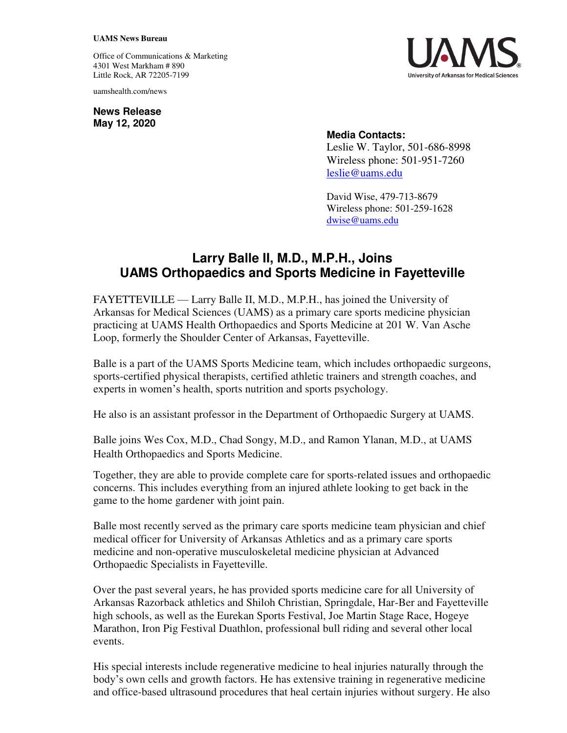## **UAMS News Bureau**

Office of Communications & Marketing 4301 West Markham # 890 Little Rock, AR 72205-7199

uamshealth.com/news

**News Release May 12, 2020**



## **Media Contacts:**

Leslie W. Taylor, 501-686-8998 Wireless phone: 501-951-7260 [leslie@uams.edu](mailto:leslie@uams.edu)

David Wise, 479-713-8679 Wireless phone: 501-259-1628 [dwise@uams.edu](mailto:dwise@uams.edu)

## **Larry Balle II, M.D., M.P.H., Joins UAMS Orthopaedics and Sports Medicine in Fayetteville**

FAYETTEVILLE — Larry Balle II, M.D., M.P.H., has joined the University of Arkansas for Medical Sciences (UAMS) as a primary care sports medicine physician practicing at UAMS Health Orthopaedics and Sports Medicine at 201 W. Van Asche Loop, formerly the Shoulder Center of Arkansas, Fayetteville.

Balle is a part of the UAMS Sports Medicine team, which includes orthopaedic surgeons, sports-certified physical therapists, certified athletic trainers and strength coaches, and experts in women's health, sports nutrition and sports psychology.

He also is an assistant professor in the Department of Orthopaedic Surgery at UAMS.

Balle joins Wes Cox, M.D., Chad Songy, M.D., and Ramon Ylanan, M.D., at UAMS Health Orthopaedics and Sports Medicine.

Together, they are able to provide complete care for sports-related issues and orthopaedic concerns. This includes everything from an injured athlete looking to get back in the game to the home gardener with joint pain.

Balle most recently served as the primary care sports medicine team physician and chief medical officer for University of Arkansas Athletics and as a primary care sports medicine and non-operative musculoskeletal medicine physician at Advanced Orthopaedic Specialists in Fayetteville.

Over the past several years, he has provided sports medicine care for all University of Arkansas Razorback athletics and Shiloh Christian, Springdale, Har-Ber and Fayetteville high schools, as well as the Eurekan Sports Festival, Joe Martin Stage Race, Hogeye Marathon, Iron Pig Festival Duathlon, professional bull riding and several other local events.

His special interests include regenerative medicine to heal injuries naturally through the body's own cells and growth factors. He has extensive training in regenerative medicine and office-based ultrasound procedures that heal certain injuries without surgery. He also